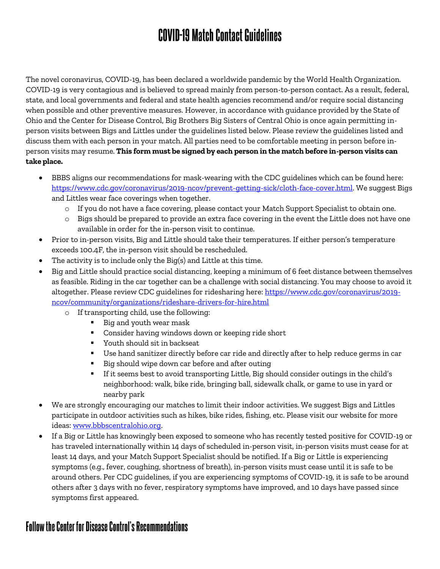## **COVID-19 Match Contact Guidelines**

The novel coronavirus, COVID-19, has been declared a worldwide pandemic by the World Health Organization. COVID-19 is very contagious and is believed to spread mainly from person-to-person contact. As a result, federal, state, and local governments and federal and state health agencies recommend and/or require social distancing when possible and other preventive measures. However, in accordance with guidance provided by the State of Ohio and the Center for Disease Control, Big Brothers Big Sisters of Central Ohio is once again permitting inperson visits between Bigs and Littles under the guidelines listed below. Please review the guidelines listed and discuss them with each person in your match. All parties need to be comfortable meeting in person before inperson visits may resume. **This form must be signed by each person in the match before in-person visits can take place.**

- BBBS aligns our recommendations for mask-wearing with the CDC guidelines which can be found here: [https://www.cdc.gov/coronavirus/2019-ncov/prevent-getting-sick/cloth-face-cover.html.](https://www.cdc.gov/coronavirus/2019-ncov/prevent-getting-sick/cloth-face-cover.html) We suggest Bigs and Littles wear face coverings when together.
	- o If you do not have a face covering, please contact your Match Support Specialist to obtain one.
	- o Bigs should be prepared to provide an extra face covering in the event the Little does not have one available in order for the in-person visit to continue.
- Prior to in-person visits, Big and Little should take their temperatures. If either person's temperature exceeds 100.4F, the in-person visit should be rescheduled.
- The activity is to include only the Big(s) and Little at this time.
- Big and Little should practice social distancing, keeping a minimum of 6 feet distance between themselves as feasible. Riding in the car together can be a challenge with social distancing. You may choose to avoid it altogether. Please review CDC guidelines for ridesharing here[: https://www.cdc.gov/coronavirus/2019](https://www.cdc.gov/coronavirus/2019-ncov/community/organizations/rideshare-drivers-for-hire.html) [ncov/community/organizations/rideshare-drivers-for-hire.html](https://www.cdc.gov/coronavirus/2019-ncov/community/organizations/rideshare-drivers-for-hire.html)
	- o If transporting child, use the following:
		- Big and youth wear mask
		- **Consider having windows down or keeping ride short**
		- Youth should sit in backseat
		- Use hand sanitizer directly before car ride and directly after to help reduce germs in car
		- Big should wipe down car before and after outing
		- If it seems best to avoid transporting Little, Big should consider outings in the child's neighborhood: walk, bike ride, bringing ball, sidewalk chalk, or game to use in yard or nearby park
- We are strongly encouraging our matches to limit their indoor activities. We suggest Bigs and Littles participate in outdoor activities such as hikes, bike rides, fishing, etc. Please visit our website for more ideas: [www.bbbscentralohio.org.](http://www.bbbscentralohio.org/)
- If a Big or Little has knowingly been exposed to someone who has recently tested positive for COVID-19 or has traveled internationally within 14 days of scheduled in-person visit, in-person visits must cease for at least 14 days, and your Match Support Specialist should be notified. If a Big or Little is experiencing symptoms (e.g., fever, coughing, shortness of breath), in-person visits must cease until it is safe to be around others. Per CDC guidelines, if you are experiencing symptoms of COVID-19, it is safe to be around others after 3 days with no fever, respiratory symptoms have improved, and 10 days have passed since symptoms first appeared.

## **Follow the Center for Disease Control's Recommendations**